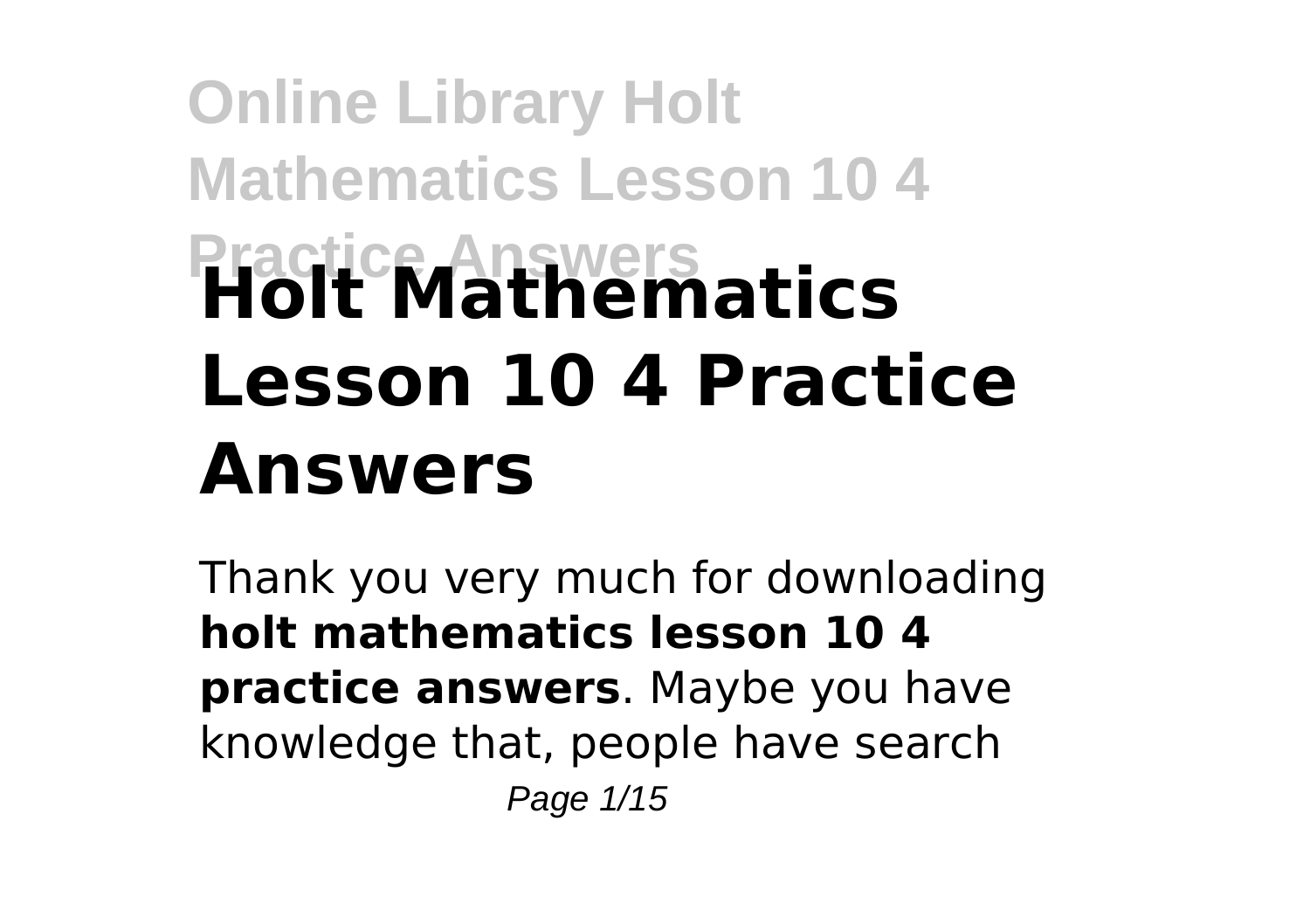# **Online Library Holt Mathematics Lesson 10 4 Practice Answers Holt Mathematics Lesson 10 4 Practice Answers**

Thank you very much for downloading **holt mathematics lesson 10 4 practice answers**. Maybe you have knowledge that, people have search Page 1/15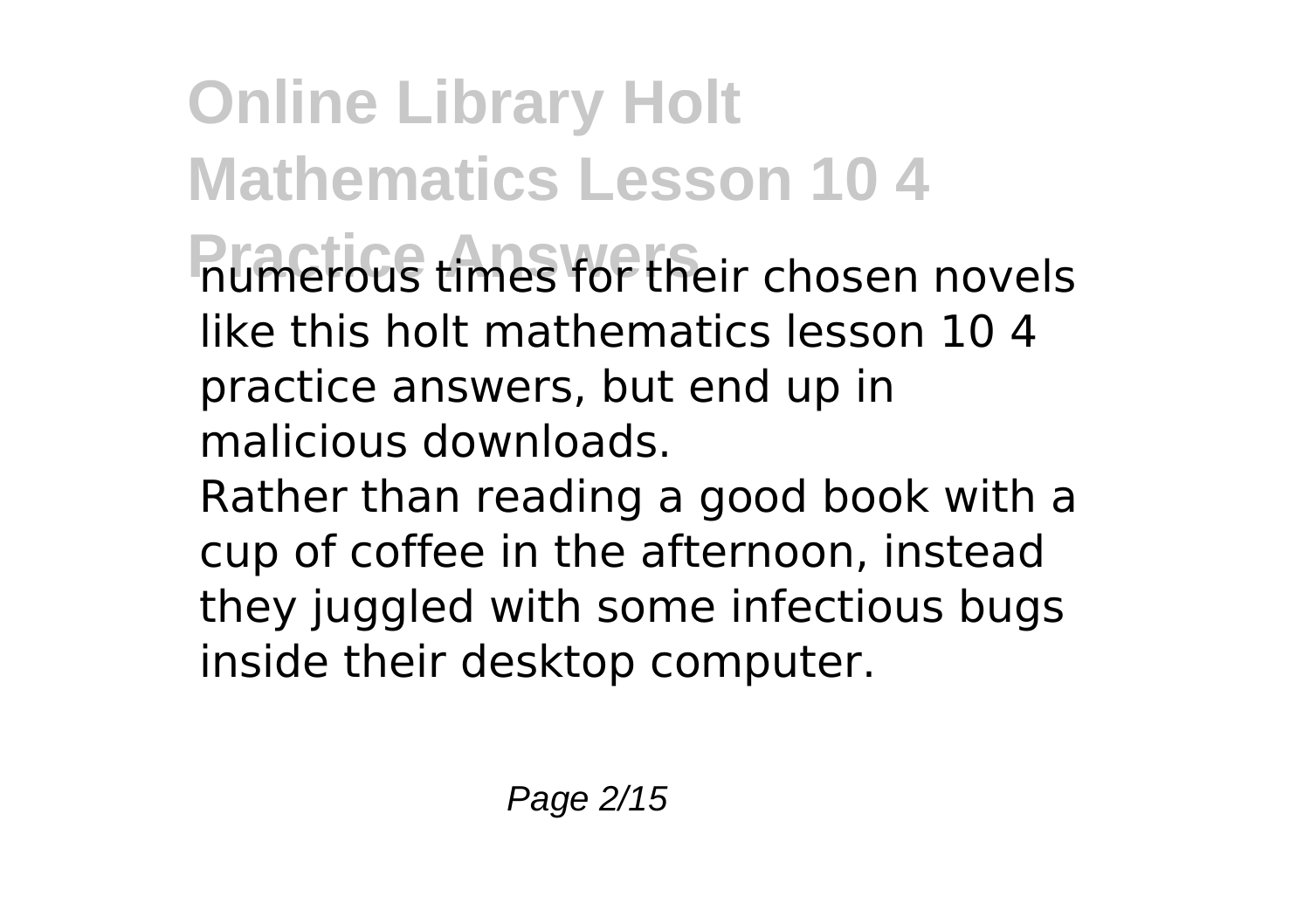**Online Library Holt Mathematics Lesson 10 4 Primerous times for their chosen novels** like this holt mathematics lesson 10 4 practice answers, but end up in malicious downloads. Rather than reading a good book with a

cup of coffee in the afternoon, instead they juggled with some infectious bugs inside their desktop computer.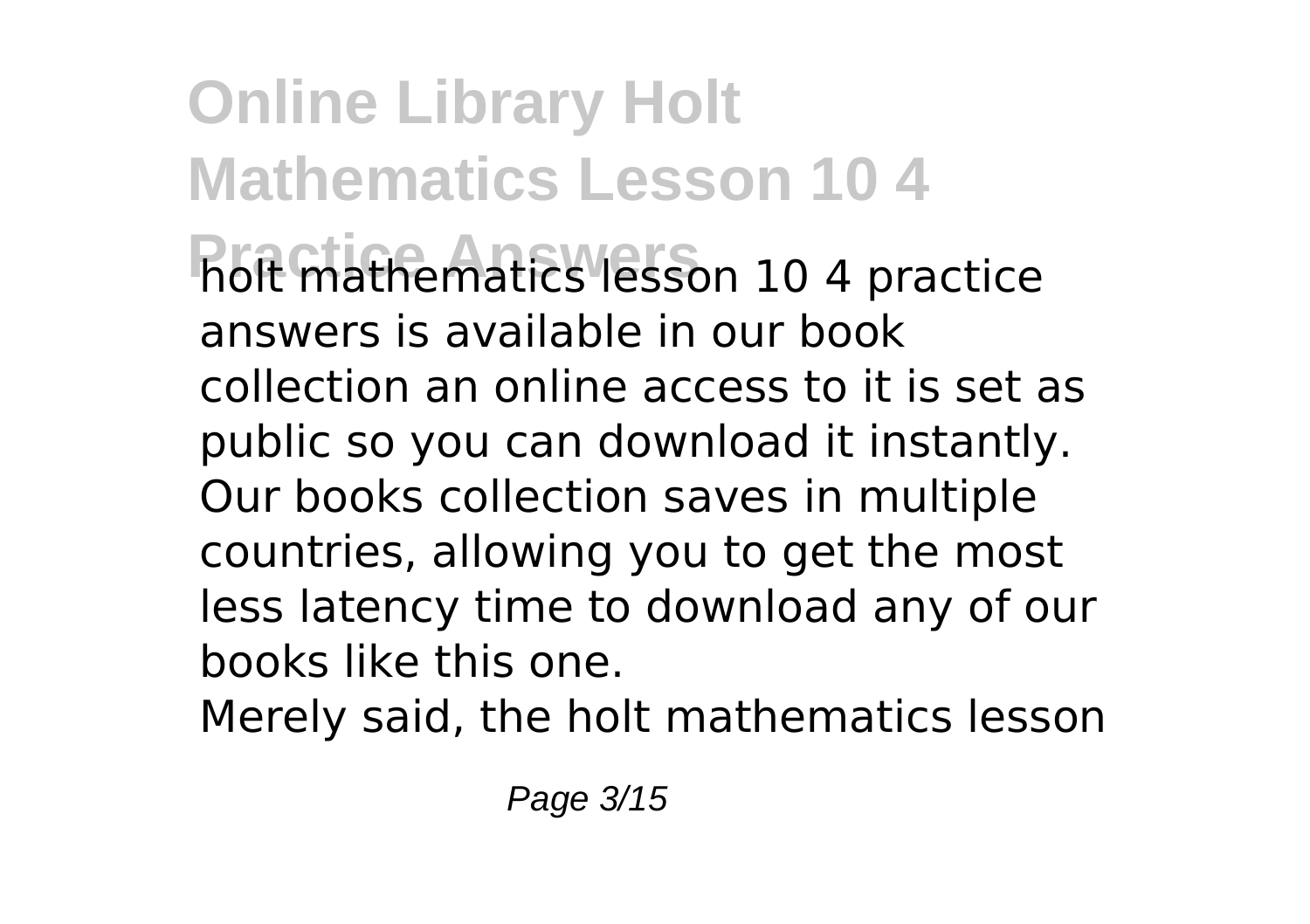**Online Library Holt Mathematics Lesson 10 4 Practice Answers** holt mathematics lesson 10 4 practice answers is available in our book collection an online access to it is set as public so you can download it instantly. Our books collection saves in multiple countries, allowing you to get the most less latency time to download any of our books like this one.

Merely said, the holt mathematics lesson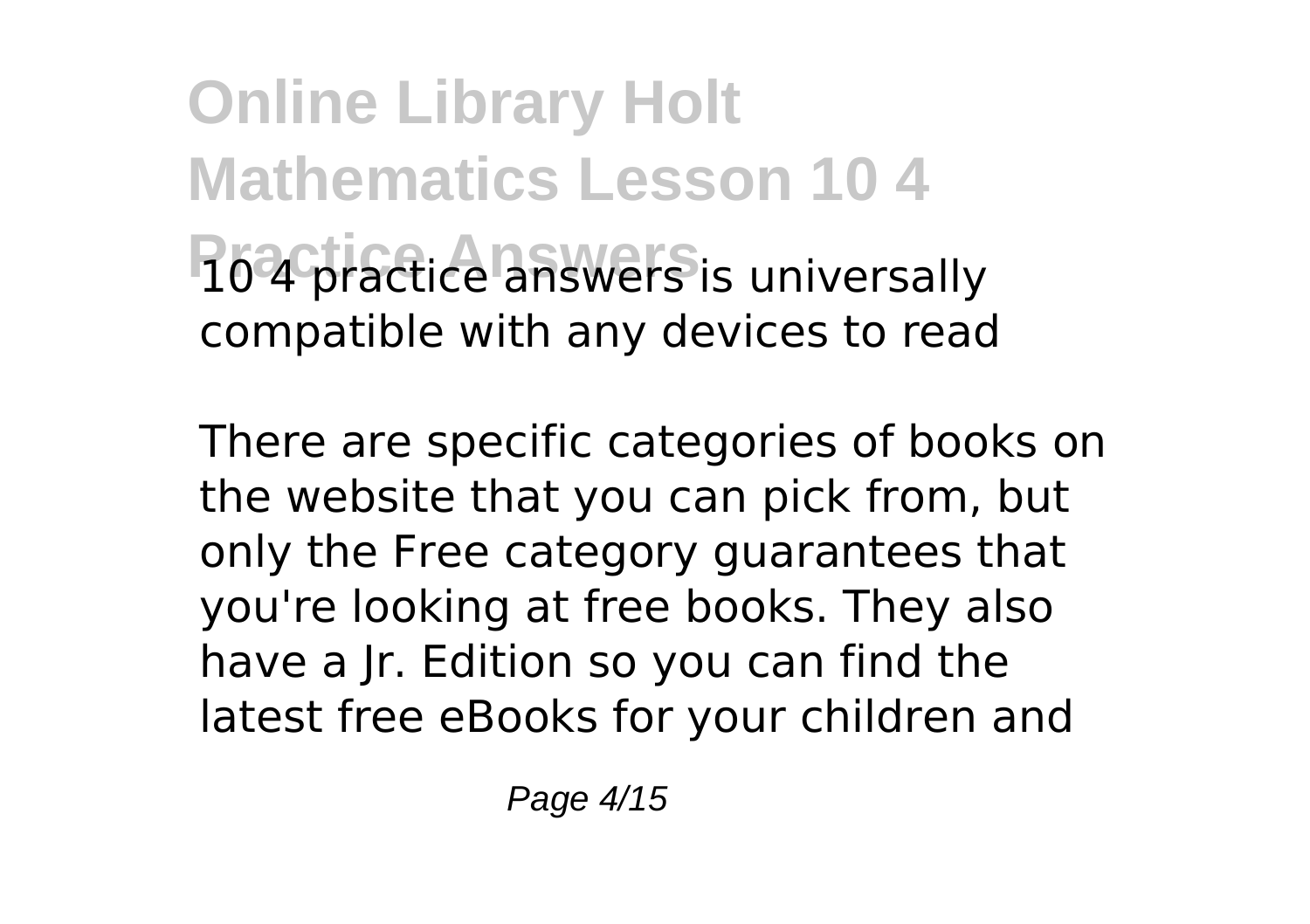**Online Library Holt Mathematics Lesson 10 4 10 4 practice answers** is universally compatible with any devices to read

There are specific categories of books on the website that you can pick from, but only the Free category guarantees that you're looking at free books. They also have a Jr. Edition so you can find the latest free eBooks for your children and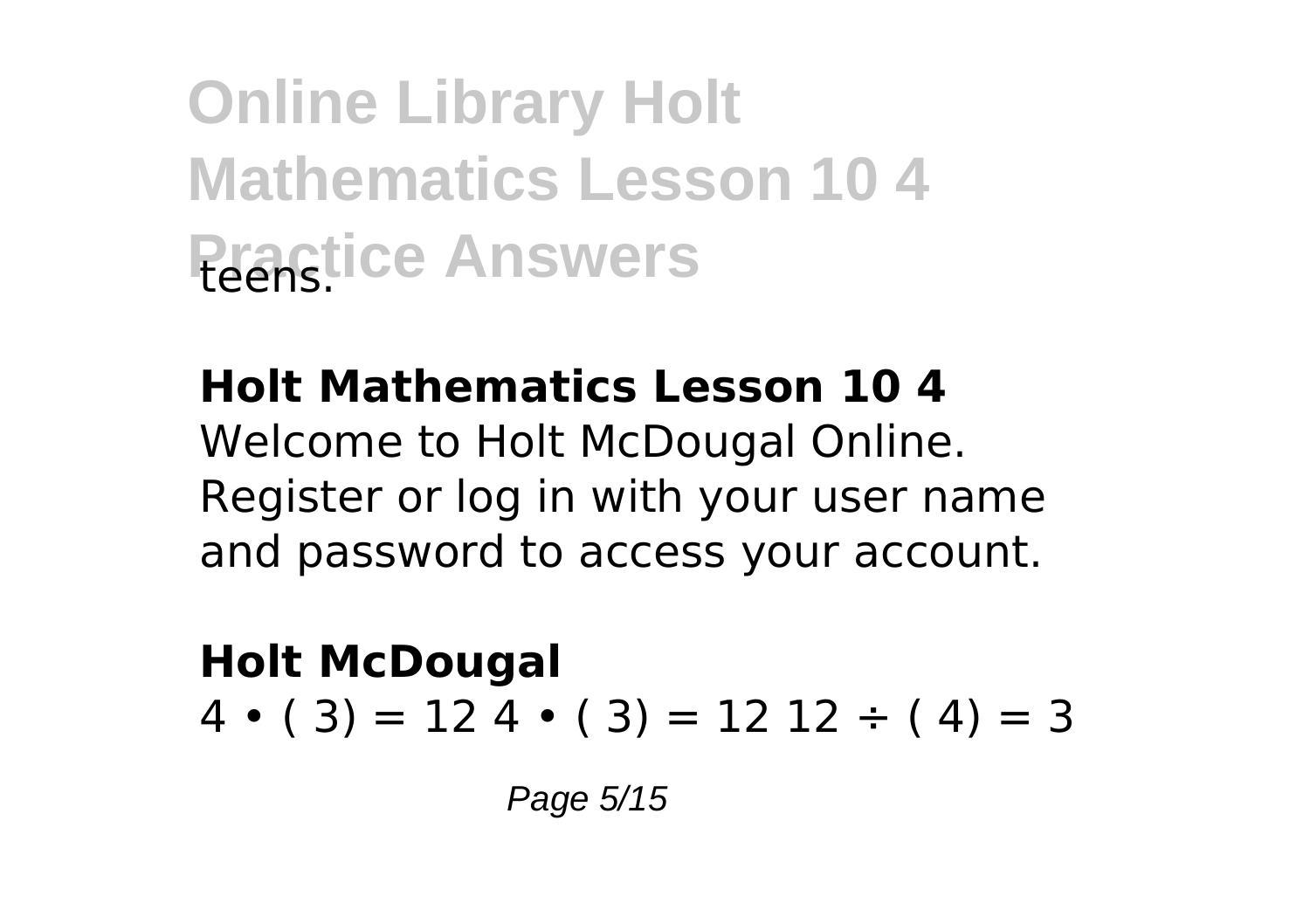**Online Library Holt Mathematics Lesson 10 4 Practice Answers** 

#### **Holt Mathematics Lesson 10 4**

Welcome to Holt McDougal Online. Register or log in with your user name and password to access your account.

**Holt McDougal**  $4 \cdot (3) = 12 \cdot 4 \cdot (3) = 12 \cdot 12 \div (4) = 3$ 

Page 5/15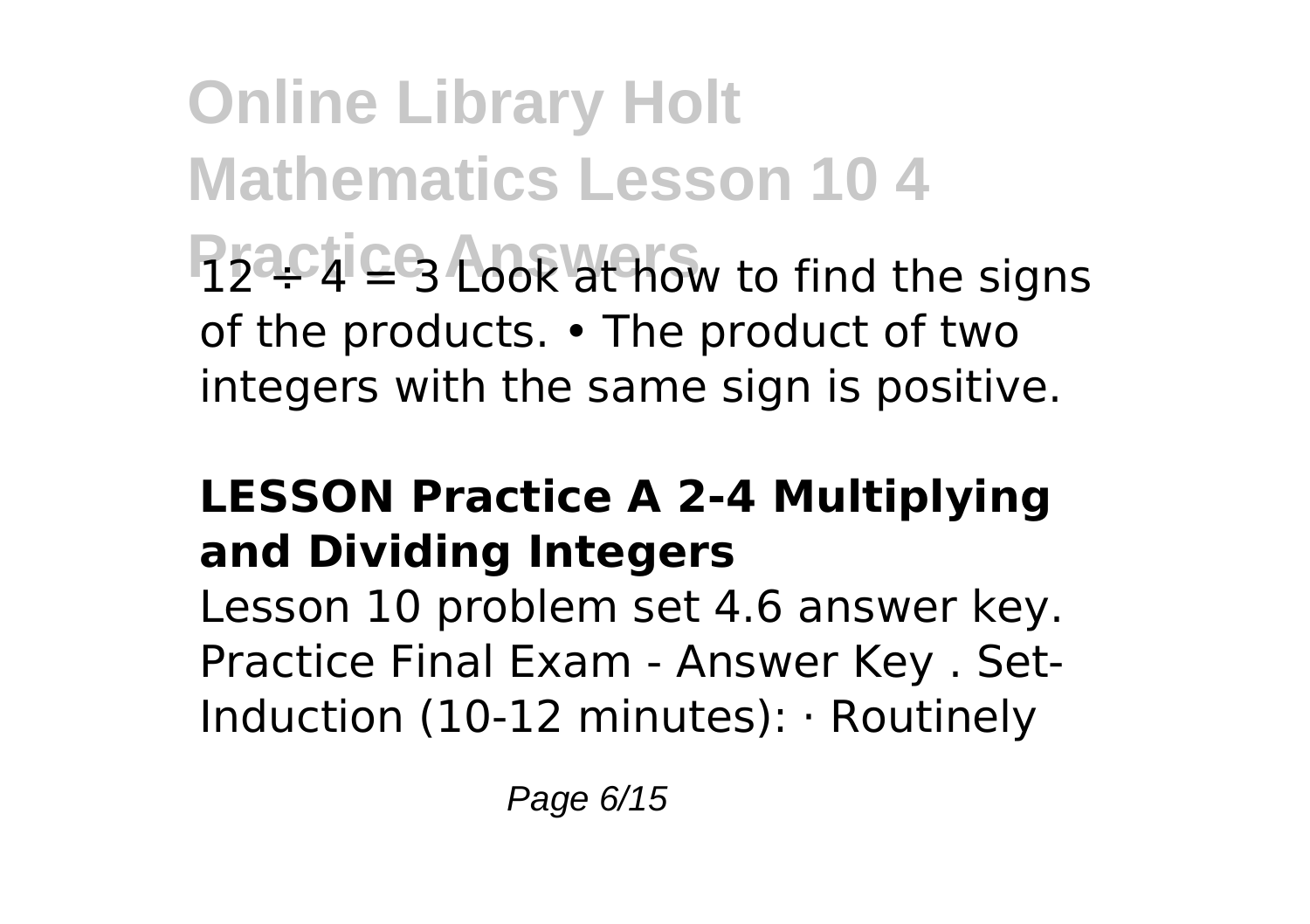**Online Library Holt Mathematics Lesson 10 4 Practice Look at how to find the signs** of the products. • The product of two integers with the same sign is positive.

### **LESSON Practice A 2-4 Multiplying and Dividing Integers**

Lesson 10 problem set 4.6 answer key. Practice Final Exam - Answer Key . Set-Induction (10-12 minutes): · Routinely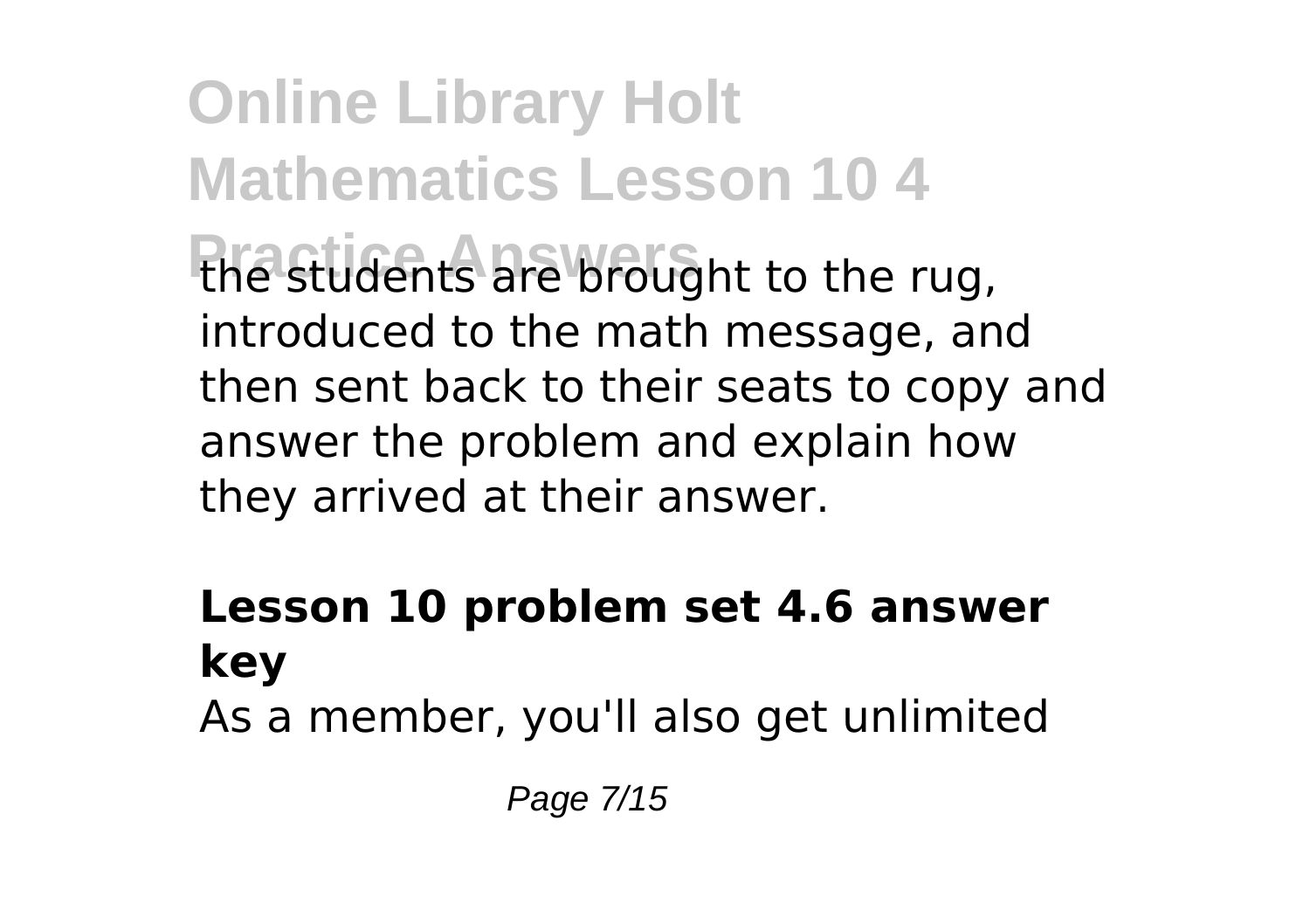**Online Library Holt Mathematics Lesson 10 4 Practice Answers** the students are brought to the rug, introduced to the math message, and then sent back to their seats to copy and answer the problem and explain how they arrived at their answer.

#### **Lesson 10 problem set 4.6 answer key** As a member, you'll also get unlimited

Page 7/15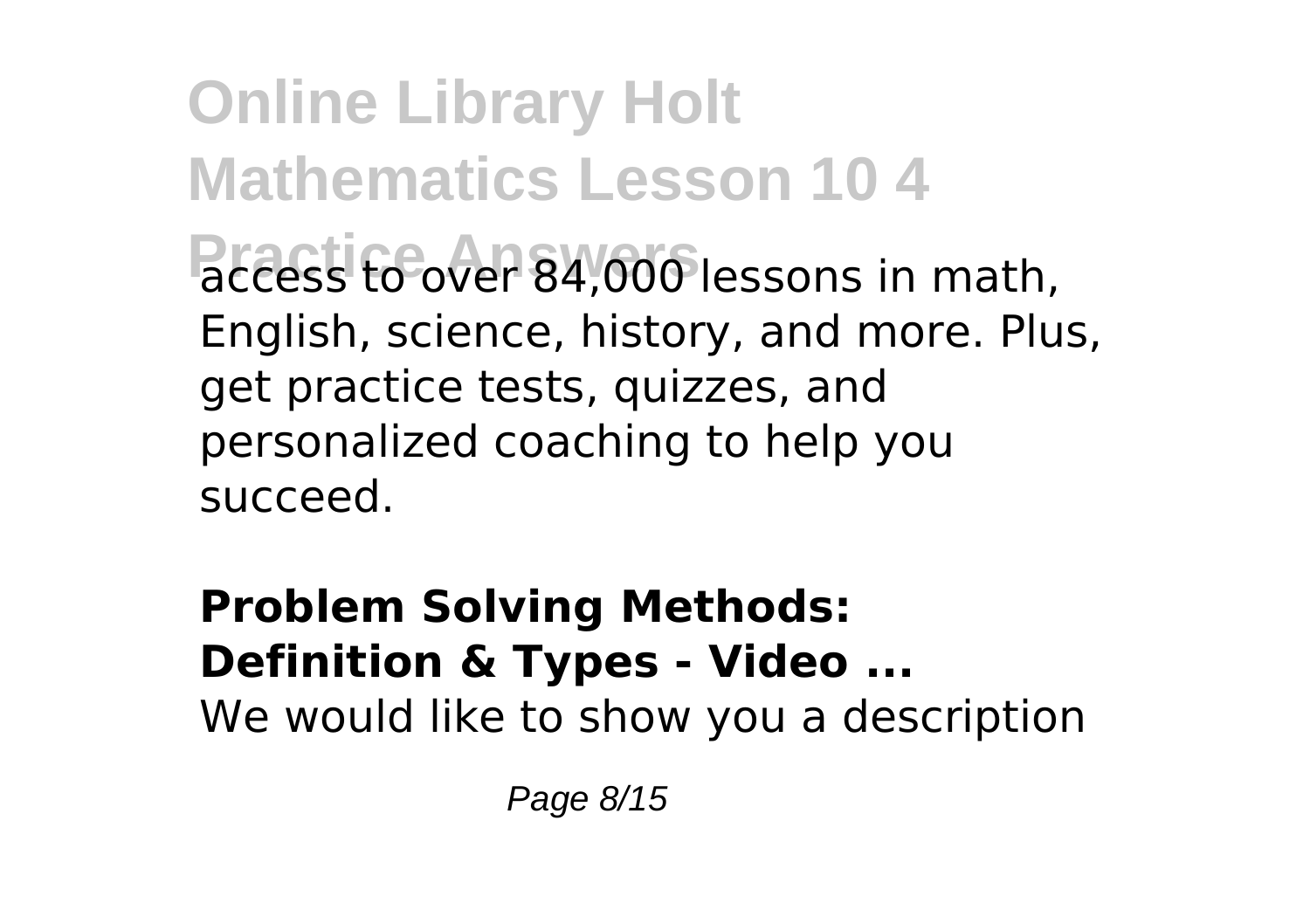**Online Library Holt Mathematics Lesson 10 4 Practice Answers** access to over 84,000 lessons in math, English, science, history, and more. Plus, get practice tests, quizzes, and personalized coaching to help you succeed.

**Problem Solving Methods: Definition & Types - Video ...** We would like to show you a description

Page 8/15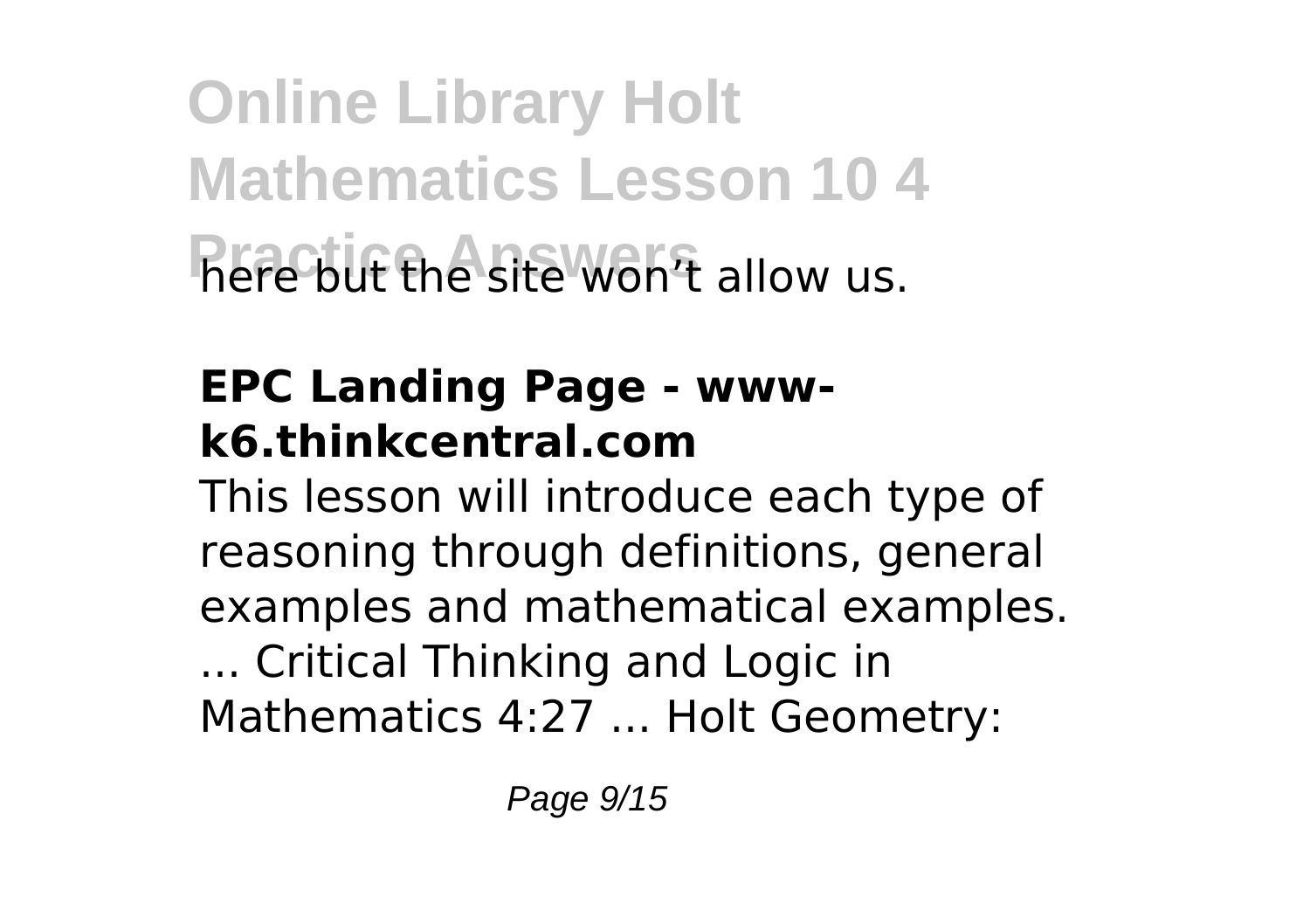**Online Library Holt Mathematics Lesson 10 4 Practice the site won't allow us.** 

# **EPC Landing Page - wwwk6.thinkcentral.com**

This lesson will introduce each type of reasoning through definitions, general examples and mathematical examples. ... Critical Thinking and Logic in Mathematics 4:27 ... Holt Geometry: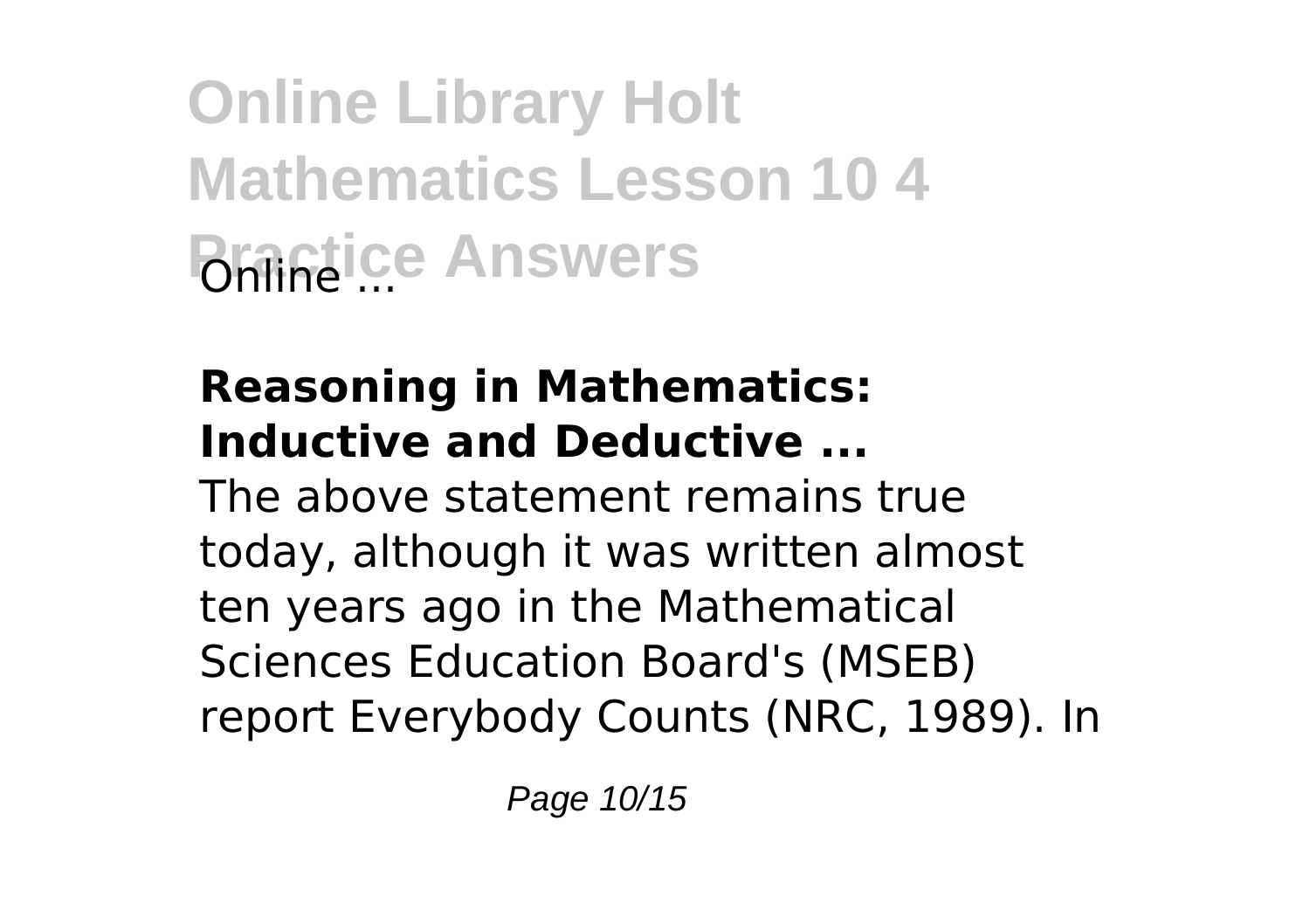**Online Library Holt Mathematics Lesson 10 4 Practice Answers** 

#### **Reasoning in Mathematics: Inductive and Deductive ...**

The above statement remains true today, although it was written almost ten years ago in the Mathematical Sciences Education Board's (MSEB) report Everybody Counts (NRC, 1989). In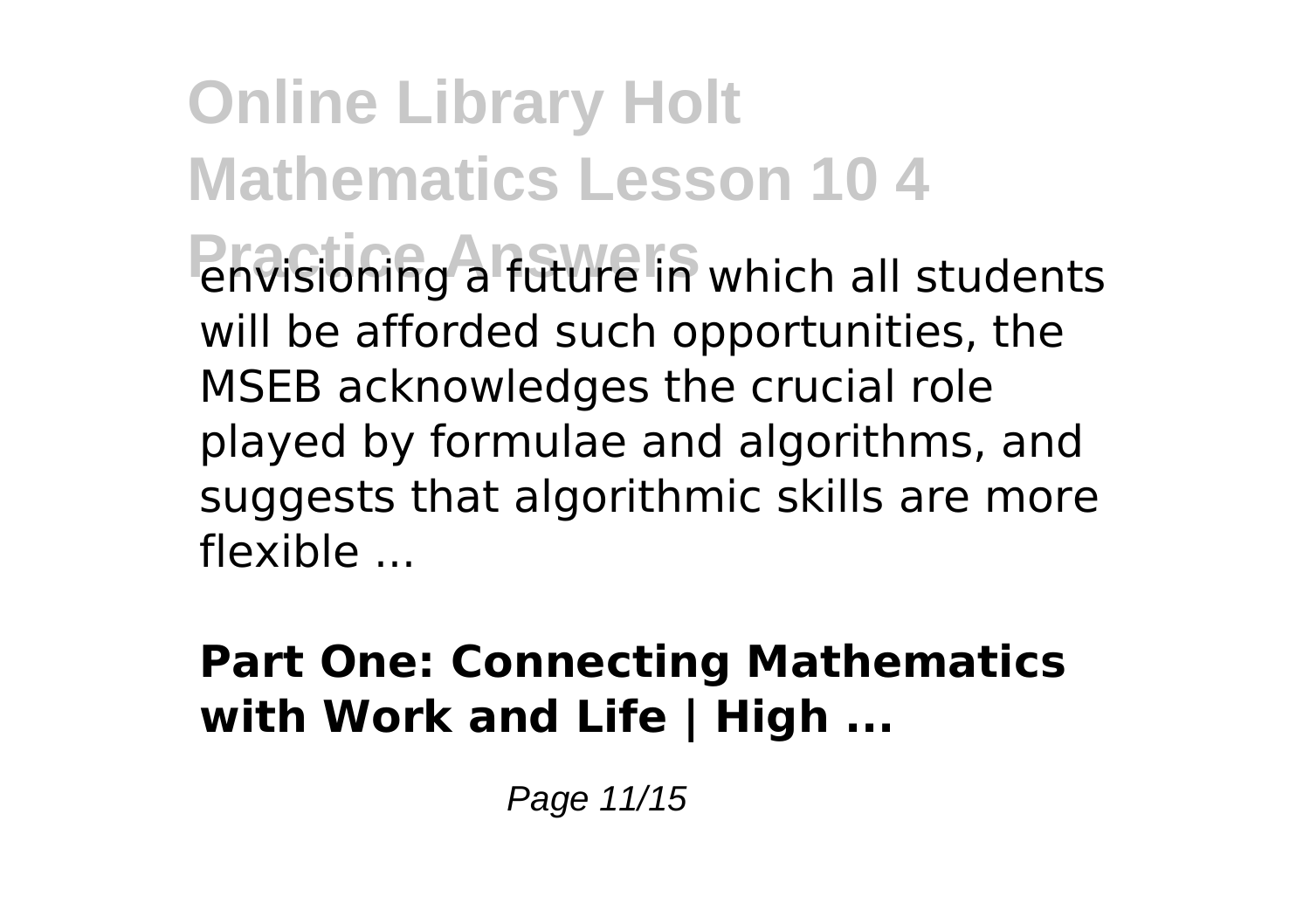**Online Library Holt Mathematics Lesson 10 4 Privisioning a future in which all students** will be afforded such opportunities, the MSEB acknowledges the crucial role played by formulae and algorithms, and suggests that algorithmic skills are more flexible ...

#### **Part One: Connecting Mathematics with Work and Life | High ...**

Page 11/15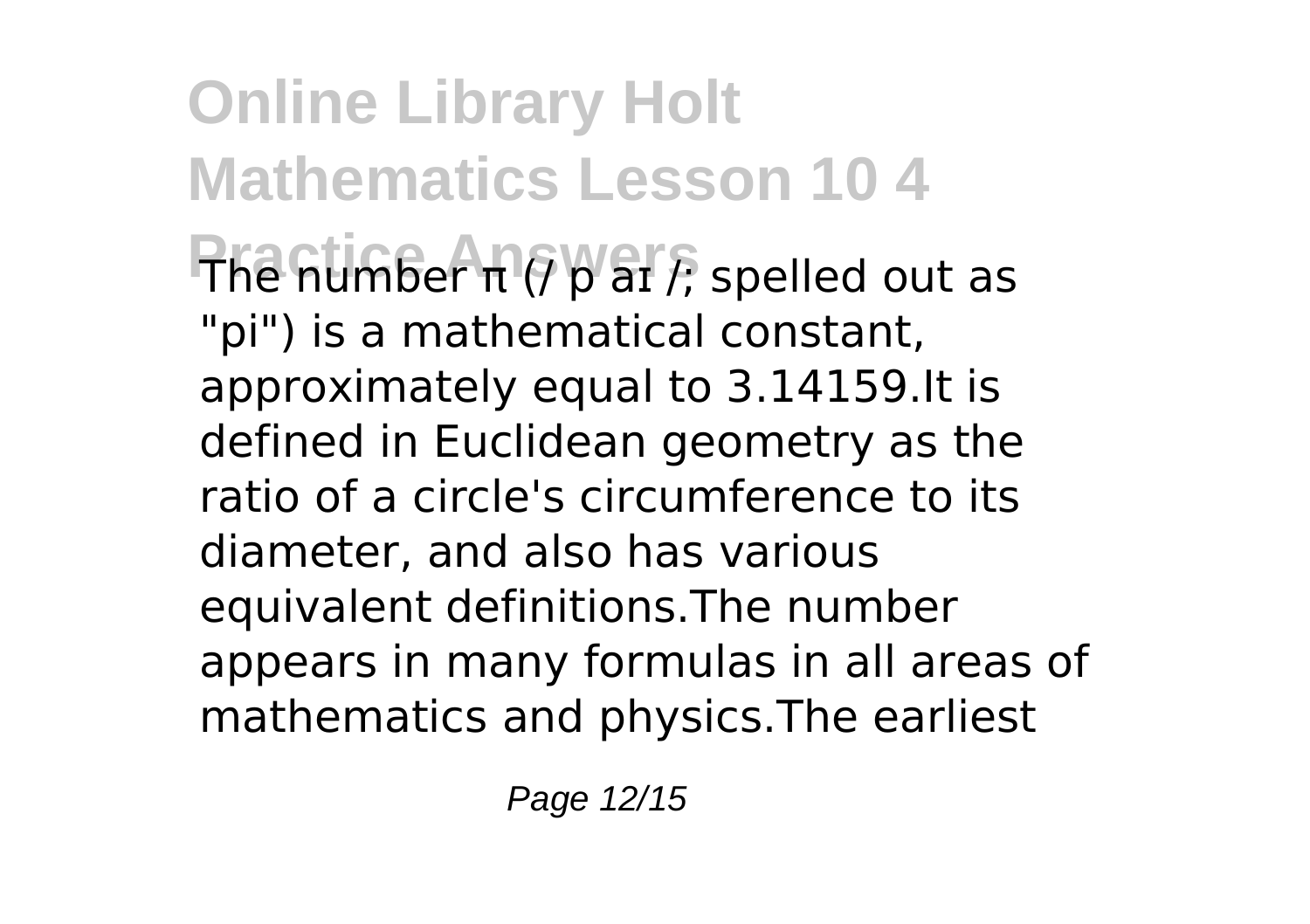**Online Library Holt Mathematics Lesson 10 4 Practice Answers** The number π (/ p aɪ /; spelled out as "pi") is a mathematical constant, approximately equal to 3.14159.It is defined in Euclidean geometry as the ratio of a circle's circumference to its diameter, and also has various equivalent definitions.The number appears in many formulas in all areas of mathematics and physics.The earliest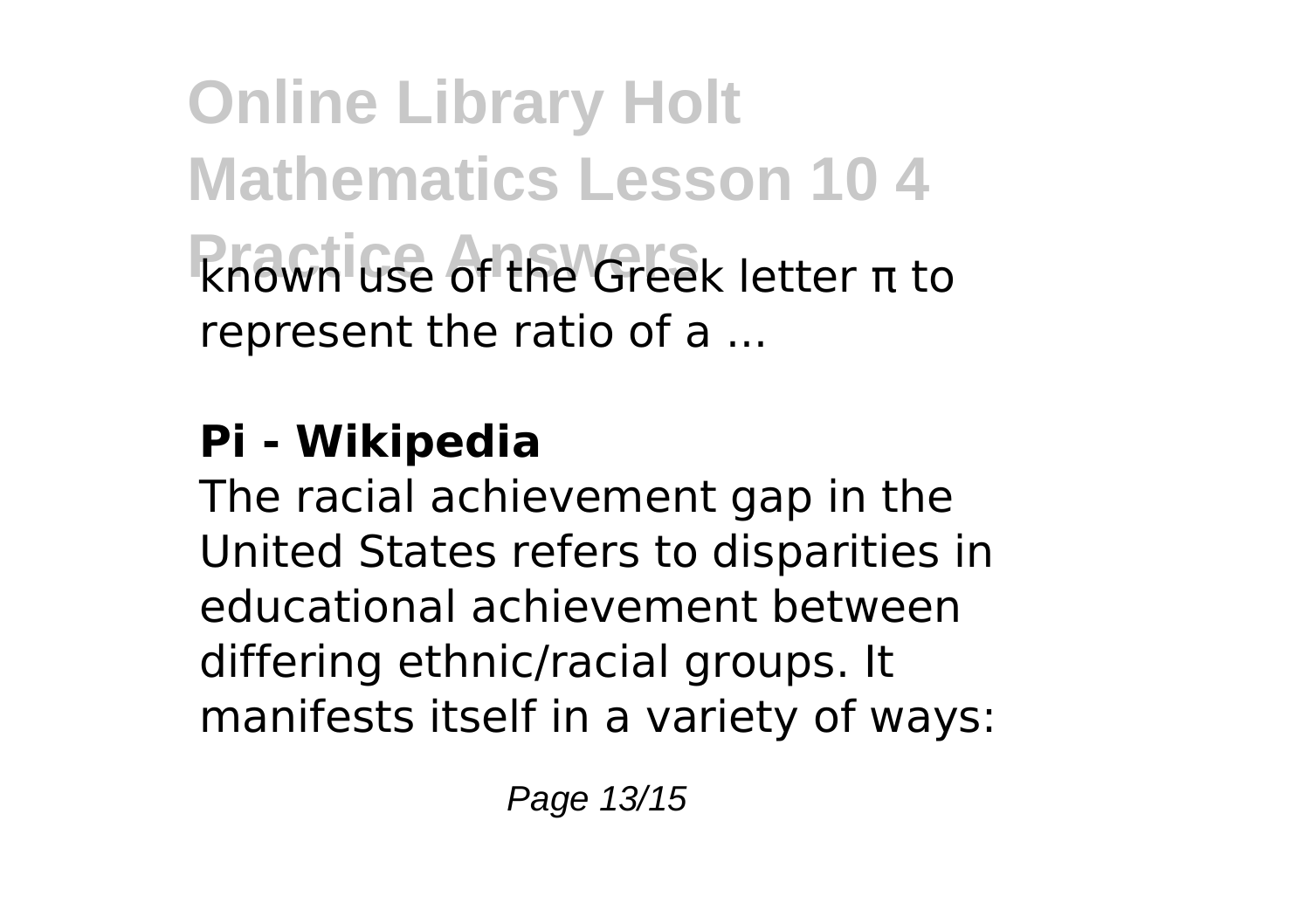**Online Library Holt Mathematics Lesson 10 4 Practice Answers** known use of the Greek letter π to represent the ratio of a ...

# **Pi - Wikipedia**

The racial achievement gap in the United States refers to disparities in educational achievement between differing ethnic/racial groups. It manifests itself in a variety of ways: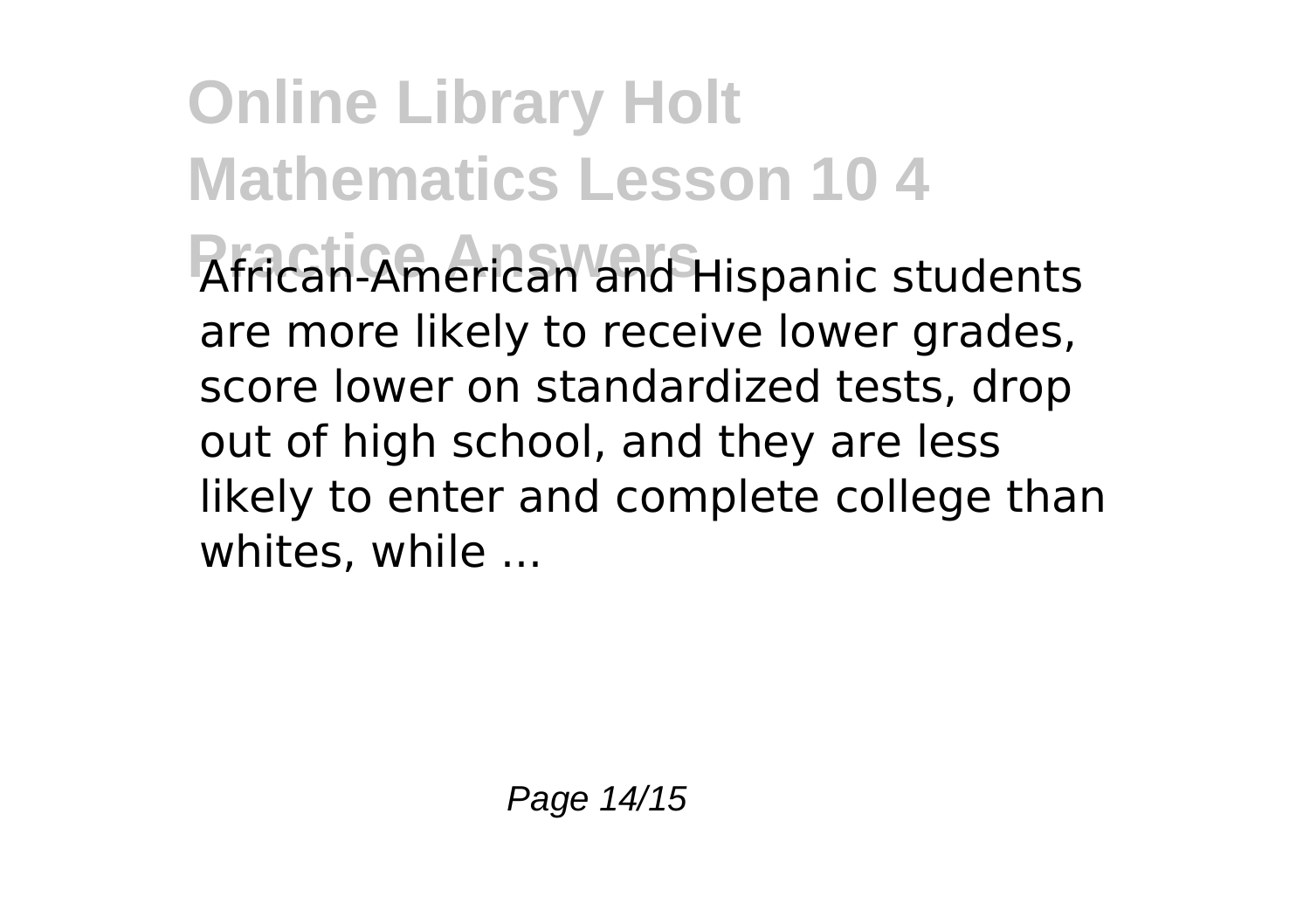**Online Library Holt Mathematics Lesson 10 4** African-American and Hispanic students are more likely to receive lower grades, score lower on standardized tests, drop out of high school, and they are less likely to enter and complete college than whites, while ...